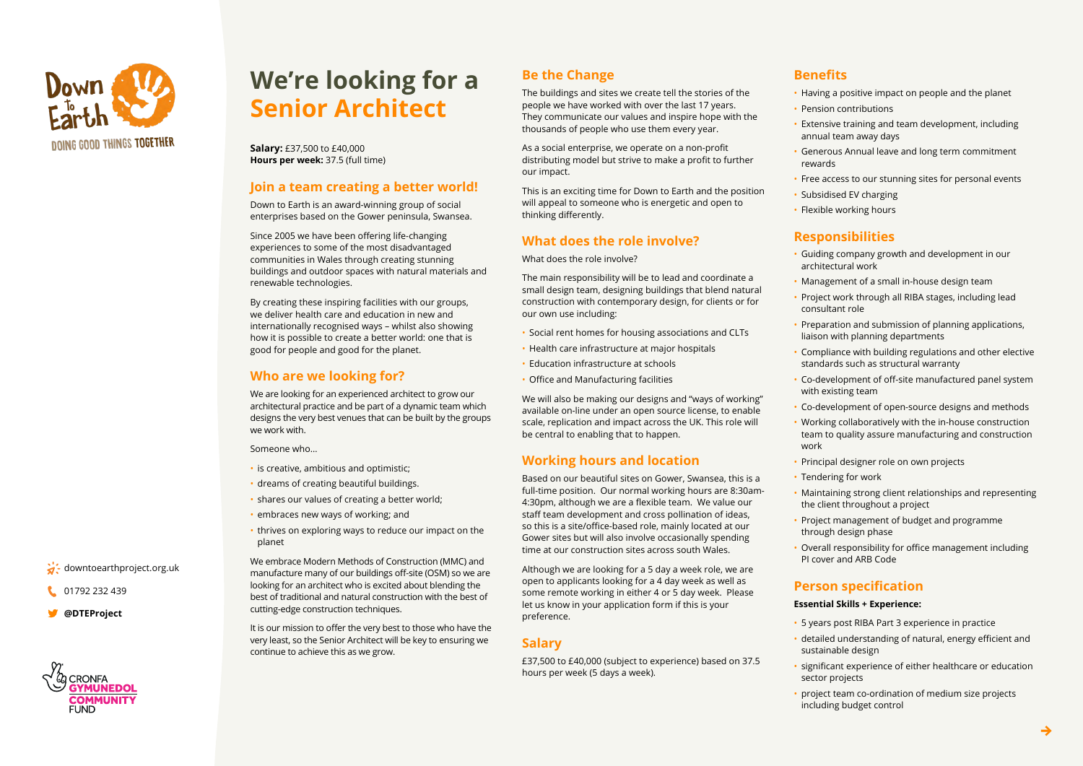

 $\ddot{a}$ . downtoearthproject.org.uk

01792 232 439 **[DTEProject@](https://twitter.com/DTEProject)**

**CRONFA** 

# **We're looking for a Senior Architect**

**Salary: £37,500 to £40,000 Hours per week: 37.5 (full time)** 

# **Join a team creating a better world!**

Down to Earth is an award-winning group of social enterprises based on the Gower peninsula, Swansea.

Since 2005 we have been offering life-changing experiences to some of the most disadvantaged communities in Wales through creating stunning buildings and outdoor spaces with natural materials and renewable technologies.

By creating these inspiring facilities with our groups, we deliver health care and education in new and internationally recognised ways – whilst also showing how it is possible to create a better world: one that is good for people and good for the planet.

### **Who are we looking for?**

We are looking for an experienced architect to grow our architectural practice and be part of a dynamic team which designs the very best venues that can be built by the groups we work with.

Someone who...

- $\cdot$  is creative, ambitious and optimistic;
- dreams of creating beautiful buildings.
- shares our values of creating a better world;
- embraces new ways of working; and
- thrives on exploring ways to reduce our impact on the planet

We embrace Modern Methods of Construction (MMC) and manufacture many of our buildings off-site (OSM) so we are looking for an architect who is excited about blending the best of traditional and natural construction with the best of cutting-edge construction techniques.

It is our mission to offer the very best to those who have the yery least, so the Senior Architect will be key to ensuring we continue to achieve this as we grow.

# **Be the Change**

The buildings and sites we create tell the stories of the people we have worked with over the last 17 years. They communicate our values and inspire hope with the thousands of people who use them every year.

As a social enterprise, we operate on a non-profit distributing model but strive to make a profit to further our impact.

This is an exciting time for Down to Earth and the position will appeal to someone who is energetic and open to thinking differently.

## **What does the role involve?**

What does the role involve?

The main responsibility will be to lead and coordinate a small design team, designing buildings that blend natural construction with contemporary design, for clients or for our own use including:

- Social rent homes for housing associations and CLTs
- Health care infrastructure at major hospitals
- Education infrastructure at schools
- Office and Manufacturing facilities

We will also be making our designs and "ways of working" available on-line under an open source license, to enable scale, replication and impact across the UK. This role will be central to enabling that to happen.

# **Working hours and location**

Based on our beautiful sites on Gower, Swansea, this is a full-time position. Our normal working hours are 8:30am-<br>4:30pm, although we are a flexible team. We value our staff team development and cross pollination of ideas, so this is a site/office-based role, mainly located at our Gower sites but will also involve occasionally spending time at our construction sites across south Wales.

Although we are looking for a 5 day a week role, we are open to applicants looking for a 4 day week as well as some remote working in either 4 or 5 day week. Please let us know in your application form if this is your preference.

## **Salary**

£37,500 to £40,000 (subject to experience) based on 37.5 hours per week (5 days a week).

## **Benefits**

- Having a positive impact on people and the planet
- Pension contributions
- **Extensive training and team development, including Fig.** annual team away days
- Generous Annual leave and long term commitment rewards
- Free access to our stunning sites for personal events
- Subsidised EV charging
- Flexible working hours

# **Responsibilities**

- Guiding company growth and development in our architectural work
- Management of a small in-house design team
- Project work through all RIBA stages, including lead consultant role
- Preparation and submission of planning applications, liaison with planning departments
- Compliance with building regulations and other elective standards such as structural warranty
- Co-development of off-site manufactured panel system with existing team
- Co-development of open-source designs and methods
- Working collaboratively with the in-house construction team to quality assure manufacturing and construction work
- Principal designer role on own projects
- Tendering for work
- Maintaining strong client relationships and representing the client throughout a project
- Project management of budget and programme through design phase
- **Overall responsibility for office management including** PI cover and ARB Code

#### **specification Person**

#### **Essential Skills + Experience:**

- 5 years post RIBA Part 3 experience in practice
- detailed understanding of natural, energy efficient and sustainable design
- significant experience of either healthcare or education sector projects
- project team co-ordination of medium size projects including budget control